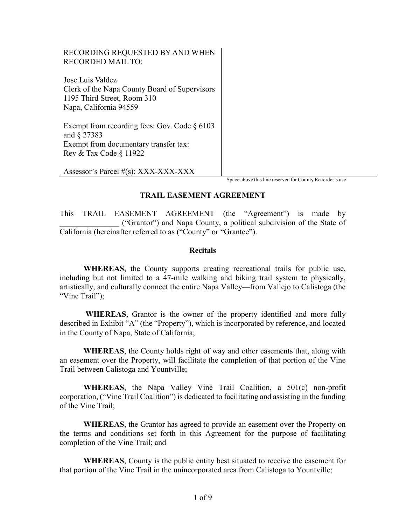#### RECORDING REQUESTED BY AND WHEN RECORDED MAIL TO:

Jose Luis Valdez Clerk of the Napa County Board of Supervisors 1195 Third Street, Room 310 Napa, California 94559

Exempt from recording fees: Gov. Code § 6103 and § 27383 Exempt from documentary transfer tax: Rev & Tax Code § 11922

Assessor's Parcel #(s): XXX-XXX-XXX

Space above this line reserved for County Recorder's use

#### TRAIL EASEMENT AGREEMENT

This TRAIL EASEMENT AGREEMENT (the "Agreement") is made by \_\_\_\_\_\_\_\_\_\_\_\_\_\_\_ ("Grantor") and Napa County, a political subdivision of the State of California (hereinafter referred to as ("County" or "Grantee").

#### **Recitals**

WHEREAS, the County supports creating recreational trails for public use, including but not limited to a 47-mile walking and biking trail system to physically, artistically, and culturally connect the entire Napa Valley—from Vallejo to Calistoga (the "Vine Trail");

 WHEREAS, Grantor is the owner of the property identified and more fully described in Exhibit "A" (the "Property"), which is incorporated by reference, and located in the County of Napa, State of California;

WHEREAS, the County holds right of way and other easements that, along with an easement over the Property, will facilitate the completion of that portion of the Vine Trail between Calistoga and Yountville;

WHEREAS, the Napa Valley Vine Trail Coalition, a 501(c) non-profit corporation, ("Vine Trail Coalition") is dedicated to facilitating and assisting in the funding of the Vine Trail;

WHEREAS, the Grantor has agreed to provide an easement over the Property on the terms and conditions set forth in this Agreement for the purpose of facilitating completion of the Vine Trail; and

WHEREAS, County is the public entity best situated to receive the easement for that portion of the Vine Trail in the unincorporated area from Calistoga to Yountville;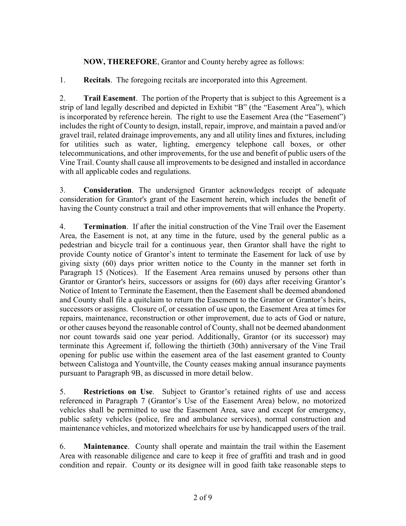NOW, THEREFORE, Grantor and County hereby agree as follows:

1. Recitals. The foregoing recitals are incorporated into this Agreement.

2. Trail Easement. The portion of the Property that is subject to this Agreement is a strip of land legally described and depicted in Exhibit "B" (the "Easement Area"), which is incorporated by reference herein. The right to use the Easement Area (the "Easement") includes the right of County to design, install, repair, improve, and maintain a paved and/or gravel trail, related drainage improvements, any and all utility lines and fixtures, including for utilities such as water, lighting, emergency telephone call boxes, or other telecommunications, and other improvements, for the use and benefit of public users of the Vine Trail. County shall cause all improvements to be designed and installed in accordance with all applicable codes and regulations.

3. Consideration. The undersigned Grantor acknowledges receipt of adequate consideration for Grantor's grant of the Easement herein, which includes the benefit of having the County construct a trail and other improvements that will enhance the Property.

4. Termination. If after the initial construction of the Vine Trail over the Easement Area, the Easement is not, at any time in the future, used by the general public as a pedestrian and bicycle trail for a continuous year, then Grantor shall have the right to provide County notice of Grantor's intent to terminate the Easement for lack of use by giving sixty (60) days prior written notice to the County in the manner set forth in Paragraph 15 (Notices). If the Easement Area remains unused by persons other than Grantor or Grantor's heirs, successors or assigns for (60) days after receiving Grantor's Notice of Intent to Terminate the Easement, then the Easement shall be deemed abandoned and County shall file a quitclaim to return the Easement to the Grantor or Grantor's heirs, successors or assigns. Closure of, or cessation of use upon, the Easement Area at times for repairs, maintenance, reconstruction or other improvement, due to acts of God or nature, or other causes beyond the reasonable control of County, shall not be deemed abandonment nor count towards said one year period. Additionally, Grantor (or its successor) may terminate this Agreement if, following the thirtieth (30th) anniversary of the Vine Trail opening for public use within the easement area of the last easement granted to County between Calistoga and Yountville, the County ceases making annual insurance payments pursuant to Paragraph 9B, as discussed in more detail below.

5. Restrictions on Use. Subject to Grantor's retained rights of use and access referenced in Paragraph 7 (Grantor's Use of the Easement Area) below, no motorized vehicles shall be permitted to use the Easement Area, save and except for emergency, public safety vehicles (police, fire and ambulance services), normal construction and maintenance vehicles, and motorized wheelchairs for use by handicapped users of the trail.

6. Maintenance. County shall operate and maintain the trail within the Easement Area with reasonable diligence and care to keep it free of graffiti and trash and in good condition and repair. County or its designee will in good faith take reasonable steps to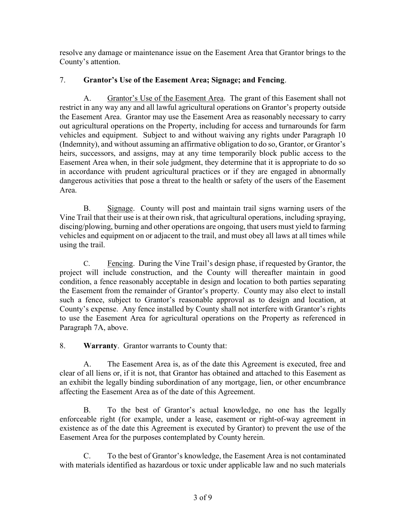resolve any damage or maintenance issue on the Easement Area that Grantor brings to the County's attention.

## 7. Grantor's Use of the Easement Area; Signage; and Fencing.

A. Grantor's Use of the Easement Area. The grant of this Easement shall not restrict in any way any and all lawful agricultural operations on Grantor's property outside the Easement Area. Grantor may use the Easement Area as reasonably necessary to carry out agricultural operations on the Property, including for access and turnarounds for farm vehicles and equipment. Subject to and without waiving any rights under Paragraph 10 (Indemnity), and without assuming an affirmative obligation to do so, Grantor, or Grantor's heirs, successors, and assigns, may at any time temporarily block public access to the Easement Area when, in their sole judgment, they determine that it is appropriate to do so in accordance with prudent agricultural practices or if they are engaged in abnormally dangerous activities that pose a threat to the health or safety of the users of the Easement Area.

B. Signage. County will post and maintain trail signs warning users of the Vine Trail that their use is at their own risk, that agricultural operations, including spraying, discing/plowing, burning and other operations are ongoing, that users must yield to farming vehicles and equipment on or adjacent to the trail, and must obey all laws at all times while using the trail.

C. Fencing. During the Vine Trail's design phase, if requested by Grantor, the project will include construction, and the County will thereafter maintain in good condition, a fence reasonably acceptable in design and location to both parties separating the Easement from the remainder of Grantor's property. County may also elect to install such a fence, subject to Grantor's reasonable approval as to design and location, at County's expense. Any fence installed by County shall not interfere with Grantor's rights to use the Easement Area for agricultural operations on the Property as referenced in Paragraph 7A, above.

8. Warranty. Grantor warrants to County that:

A. The Easement Area is, as of the date this Agreement is executed, free and clear of all liens or, if it is not, that Grantor has obtained and attached to this Easement as an exhibit the legally binding subordination of any mortgage, lien, or other encumbrance affecting the Easement Area as of the date of this Agreement.

B. To the best of Grantor's actual knowledge, no one has the legally enforceable right (for example, under a lease, easement or right-of-way agreement in existence as of the date this Agreement is executed by Grantor) to prevent the use of the Easement Area for the purposes contemplated by County herein.

C. To the best of Grantor's knowledge, the Easement Area is not contaminated with materials identified as hazardous or toxic under applicable law and no such materials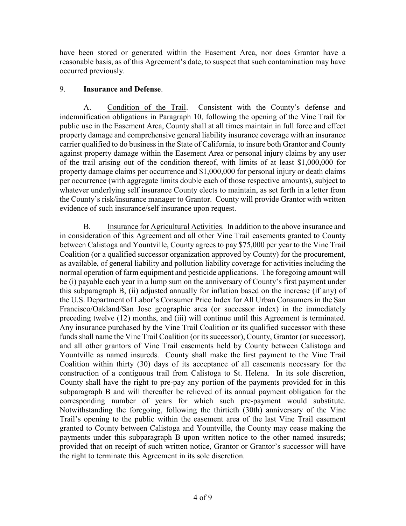have been stored or generated within the Easement Area, nor does Grantor have a reasonable basis, as of this Agreement's date, to suspect that such contamination may have occurred previously.

## 9. Insurance and Defense.

A. Condition of the Trail. Consistent with the County's defense and indemnification obligations in Paragraph 10, following the opening of the Vine Trail for public use in the Easement Area, County shall at all times maintain in full force and effect property damage and comprehensive general liability insurance coverage with an insurance carrier qualified to do business in the State of California, to insure both Grantor and County against property damage within the Easement Area or personal injury claims by any user of the trail arising out of the condition thereof, with limits of at least \$1,000,000 for property damage claims per occurrence and \$1,000,000 for personal injury or death claims per occurrence (with aggregate limits double each of those respective amounts), subject to whatever underlying self insurance County elects to maintain, as set forth in a letter from the County's risk/insurance manager to Grantor. County will provide Grantor with written evidence of such insurance/self insurance upon request.

B. Insurance for Agricultural Activities. In addition to the above insurance and in consideration of this Agreement and all other Vine Trail easements granted to County between Calistoga and Yountville, County agrees to pay \$75,000 per year to the Vine Trail Coalition (or a qualified successor organization approved by County) for the procurement, as available, of general liability and pollution liability coverage for activities including the normal operation of farm equipment and pesticide applications. The foregoing amount will be (i) payable each year in a lump sum on the anniversary of County's first payment under this subparagraph B, (ii) adjusted annually for inflation based on the increase (if any) of the U.S. Department of Labor's Consumer Price Index for All Urban Consumers in the San Francisco/Oakland/San Jose geographic area (or successor index) in the immediately preceding twelve (12) months, and (iii) will continue until this Agreement is terminated. Any insurance purchased by the Vine Trail Coalition or its qualified successor with these funds shall name the Vine Trail Coalition (or its successor), County, Grantor (or successor), and all other grantors of Vine Trail easements held by County between Calistoga and Yountville as named insureds. County shall make the first payment to the Vine Trail Coalition within thirty (30) days of its acceptance of all easements necessary for the construction of a contiguous trail from Calistoga to St. Helena. In its sole discretion, County shall have the right to pre-pay any portion of the payments provided for in this subparagraph B and will thereafter be relieved of its annual payment obligation for the corresponding number of years for which such pre-payment would substitute. Notwithstanding the foregoing, following the thirtieth (30th) anniversary of the Vine Trail's opening to the public within the easement area of the last Vine Trail easement granted to County between Calistoga and Yountville, the County may cease making the payments under this subparagraph B upon written notice to the other named insureds; provided that on receipt of such written notice, Grantor or Grantor's successor will have the right to terminate this Agreement in its sole discretion.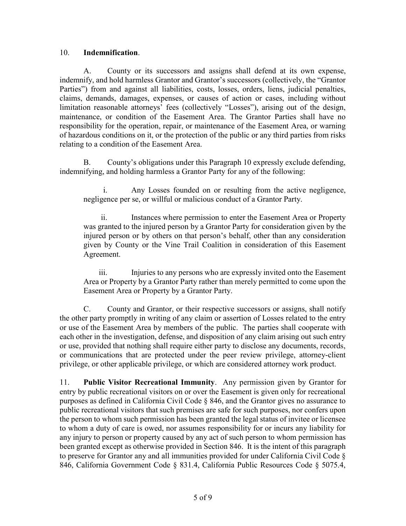#### 10. Indemnification.

A. County or its successors and assigns shall defend at its own expense, indemnify, and hold harmless Grantor and Grantor's successors (collectively, the "Grantor Parties") from and against all liabilities, costs, losses, orders, liens, judicial penalties, claims, demands, damages, expenses, or causes of action or cases, including without limitation reasonable attorneys' fees (collectively "Losses"), arising out of the design, maintenance, or condition of the Easement Area. The Grantor Parties shall have no responsibility for the operation, repair, or maintenance of the Easement Area, or warning of hazardous conditions on it, or the protection of the public or any third parties from risks relating to a condition of the Easement Area.

B. County's obligations under this Paragraph 10 expressly exclude defending, indemnifying, and holding harmless a Grantor Party for any of the following:

i. Any Losses founded on or resulting from the active negligence, negligence per se, or willful or malicious conduct of a Grantor Party.

ii. Instances where permission to enter the Easement Area or Property was granted to the injured person by a Grantor Party for consideration given by the injured person or by others on that person's behalf, other than any consideration given by County or the Vine Trail Coalition in consideration of this Easement Agreement.

iii. Injuries to any persons who are expressly invited onto the Easement Area or Property by a Grantor Party rather than merely permitted to come upon the Easement Area or Property by a Grantor Party.

C. County and Grantor, or their respective successors or assigns, shall notify the other party promptly in writing of any claim or assertion of Losses related to the entry or use of the Easement Area by members of the public. The parties shall cooperate with each other in the investigation, defense, and disposition of any claim arising out such entry or use, provided that nothing shall require either party to disclose any documents, records, or communications that are protected under the peer review privilege, attorney-client privilege, or other applicable privilege, or which are considered attorney work product.

11. Public Visitor Recreational Immunity. Any permission given by Grantor for entry by public recreational visitors on or over the Easement is given only for recreational purposes as defined in California Civil Code § 846, and the Grantor gives no assurance to public recreational visitors that such premises are safe for such purposes, nor confers upon the person to whom such permission has been granted the legal status of invitee or licensee to whom a duty of care is owed, nor assumes responsibility for or incurs any liability for any injury to person or property caused by any act of such person to whom permission has been granted except as otherwise provided in Section 846. It is the intent of this paragraph to preserve for Grantor any and all immunities provided for under California Civil Code § 846, California Government Code § 831.4, California Public Resources Code § 5075.4,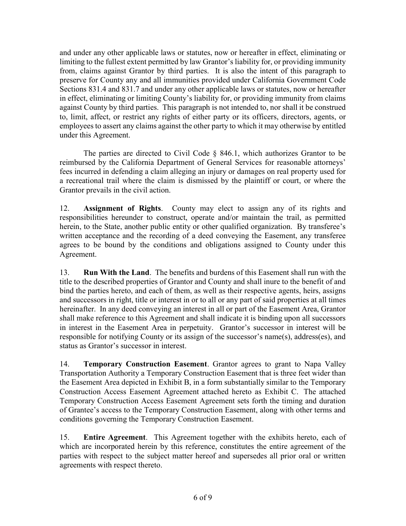and under any other applicable laws or statutes, now or hereafter in effect, eliminating or limiting to the fullest extent permitted by law Grantor's liability for, or providing immunity from, claims against Grantor by third parties. It is also the intent of this paragraph to preserve for County any and all immunities provided under California Government Code Sections 831.4 and 831.7 and under any other applicable laws or statutes, now or hereafter in effect, eliminating or limiting County's liability for, or providing immunity from claims against County by third parties. This paragraph is not intended to, nor shall it be construed to, limit, affect, or restrict any rights of either party or its officers, directors, agents, or employees to assert any claims against the other party to which it may otherwise by entitled under this Agreement.

The parties are directed to Civil Code  $\S$  846.1, which authorizes Grantor to be reimbursed by the California Department of General Services for reasonable attorneys' fees incurred in defending a claim alleging an injury or damages on real property used for a recreational trail where the claim is dismissed by the plaintiff or court, or where the Grantor prevails in the civil action.

12. Assignment of Rights. County may elect to assign any of its rights and responsibilities hereunder to construct, operate and/or maintain the trail, as permitted herein, to the State, another public entity or other qualified organization. By transferee's written acceptance and the recording of a deed conveying the Easement, any transferee agrees to be bound by the conditions and obligations assigned to County under this Agreement.

13. Run With the Land. The benefits and burdens of this Easement shall run with the title to the described properties of Grantor and County and shall inure to the benefit of and bind the parties hereto, and each of them, as well as their respective agents, heirs, assigns and successors in right, title or interest in or to all or any part of said properties at all times hereinafter. In any deed conveying an interest in all or part of the Easement Area, Grantor shall make reference to this Agreement and shall indicate it is binding upon all successors in interest in the Easement Area in perpetuity. Grantor's successor in interest will be responsible for notifying County or its assign of the successor's name(s), address(es), and status as Grantor's successor in interest.

14. Temporary Construction Easement. Grantor agrees to grant to Napa Valley Transportation Authority a Temporary Construction Easement that is three feet wider than the Easement Area depicted in Exhibit B, in a form substantially similar to the Temporary Construction Access Easement Agreement attached hereto as Exhibit C. The attached Temporary Construction Access Easement Agreement sets forth the timing and duration of Grantee's access to the Temporary Construction Easement, along with other terms and conditions governing the Temporary Construction Easement.

15. Entire Agreement. This Agreement together with the exhibits hereto, each of which are incorporated herein by this reference, constitutes the entire agreement of the parties with respect to the subject matter hereof and supersedes all prior oral or written agreements with respect thereto.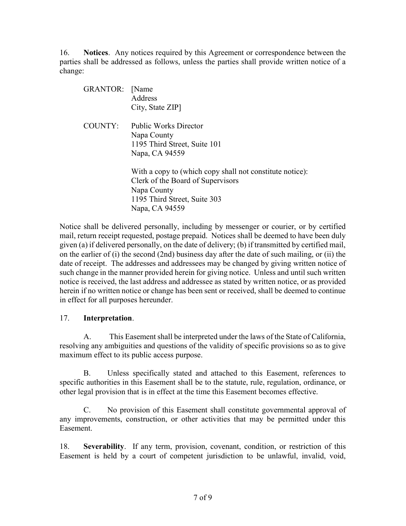16. Notices. Any notices required by this Agreement or correspondence between the parties shall be addressed as follows, unless the parties shall provide written notice of a change:

| <b>GRANTOR:</b> | <b>Name</b><br>Address<br>City, State ZIP                                                                                                                      |
|-----------------|----------------------------------------------------------------------------------------------------------------------------------------------------------------|
| COUNTY:         | <b>Public Works Director</b><br>Napa County<br>1195 Third Street, Suite 101<br>Napa, CA 94559                                                                  |
|                 | With a copy to (which copy shall not constitute notice):<br>Clerk of the Board of Supervisors<br>Napa County<br>1195 Third Street, Suite 303<br>Napa, CA 94559 |

Notice shall be delivered personally, including by messenger or courier, or by certified mail, return receipt requested, postage prepaid. Notices shall be deemed to have been duly given (a) if delivered personally, on the date of delivery; (b) if transmitted by certified mail, on the earlier of (i) the second (2nd) business day after the date of such mailing, or (ii) the date of receipt. The addresses and addressees may be changed by giving written notice of such change in the manner provided herein for giving notice. Unless and until such written notice is received, the last address and addressee as stated by written notice, or as provided herein if no written notice or change has been sent or received, shall be deemed to continue in effect for all purposes hereunder.

## 17. Interpretation.

A. This Easement shall be interpreted under the laws of the State of California, resolving any ambiguities and questions of the validity of specific provisions so as to give maximum effect to its public access purpose.

B. Unless specifically stated and attached to this Easement, references to specific authorities in this Easement shall be to the statute, rule, regulation, ordinance, or other legal provision that is in effect at the time this Easement becomes effective.

C. No provision of this Easement shall constitute governmental approval of any improvements, construction, or other activities that may be permitted under this Easement.

18. Severability. If any term, provision, covenant, condition, or restriction of this Easement is held by a court of competent jurisdiction to be unlawful, invalid, void,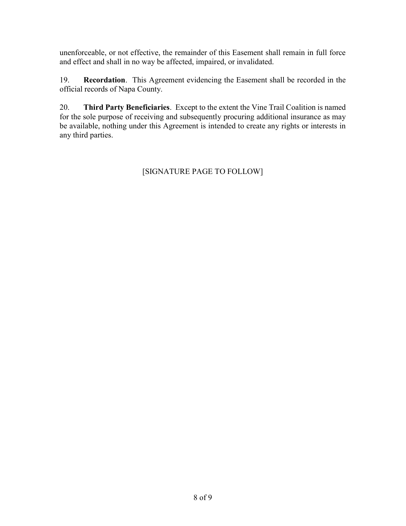unenforceable, or not effective, the remainder of this Easement shall remain in full force and effect and shall in no way be affected, impaired, or invalidated.

19. Recordation. This Agreement evidencing the Easement shall be recorded in the official records of Napa County.

20. Third Party Beneficiaries. Except to the extent the Vine Trail Coalition is named for the sole purpose of receiving and subsequently procuring additional insurance as may be available, nothing under this Agreement is intended to create any rights or interests in any third parties.

# [SIGNATURE PAGE TO FOLLOW]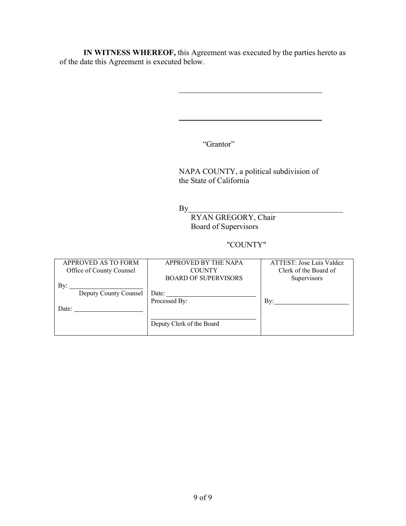IN WITNESS WHEREOF, this Agreement was executed by the parties hereto as of the date this Agreement is executed below.

"Grantor"

 NAPA COUNTY, a political subdivision of the State of California

 $\mathbf{By}$ 

l

l

 RYAN GREGORY, Chair Board of Supervisors

## "COUNTY"

| APPROVED AS TO FORM      | APPROVED BY THE NAPA                                                     | ATTEST: Jose Luis Valdez |
|--------------------------|--------------------------------------------------------------------------|--------------------------|
| Office of County Counsel | <b>COUNTY</b>                                                            | Clerk of the Board of    |
|                          | <b>BOARD OF SUPERVISORS</b>                                              | Supervisors              |
| Bv:                      |                                                                          |                          |
| Deputy County Counsel    | Date: $\frac{1}{\sqrt{1-\frac{1}{2}}\left\vert \frac{1}{2} \right\vert}$ |                          |
|                          | Processed By:                                                            | Bv:                      |
| Date:                    |                                                                          |                          |
|                          |                                                                          |                          |
|                          | Deputy Clerk of the Board                                                |                          |
|                          |                                                                          |                          |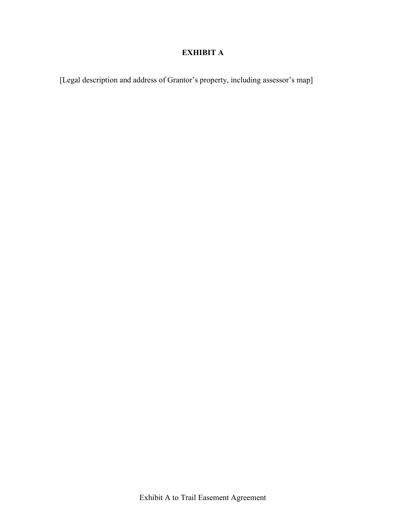# EXHIBIT A

[Legal description and address of Grantor's property, including assessor's map]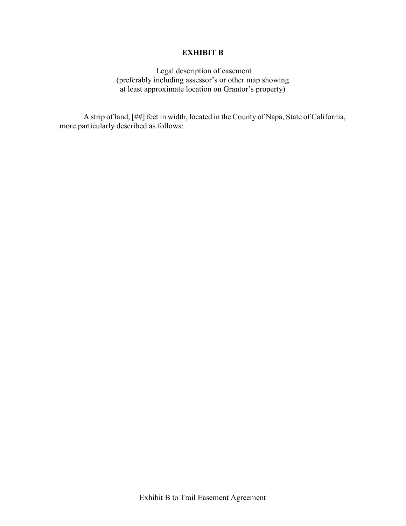#### EXHIBIT B

 Legal description of easement (preferably including assessor's or other map showing at least approximate location on Grantor's property)

 A strip of land, [##] feet in width, located in the County of Napa, State of California, more particularly described as follows: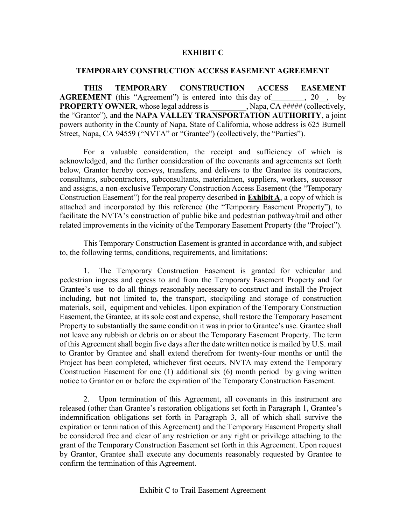#### EXHIBIT C

#### TEMPORARY CONSTRUCTION ACCESS EASEMENT AGREEMENT

 THIS TEMPORARY CONSTRUCTION ACCESS EASEMENT **AGREEMENT** (this "Agreement") is entered into this day of  $\qquad \qquad$ , 20, by **PROPERTY OWNER**, whose legal address is  $\qquad \qquad$ , Napa, CA ##### (collectively, the "Grantor"), and the NAPA VALLEY TRANSPORTATION AUTHORITY, a joint powers authority in the County of Napa, State of California, whose address is 625 Burnell Street, Napa, CA 94559 ("NVTA" or "Grantee") (collectively, the "Parties").

 For a valuable consideration, the receipt and sufficiency of which is acknowledged, and the further consideration of the covenants and agreements set forth below, Grantor hereby conveys, transfers, and delivers to the Grantee its contractors, consultants, subcontractors, subconsultants, materialmen, suppliers, workers, successor and assigns, a non-exclusive Temporary Construction Access Easement (the "Temporary Construction Easement") for the real property described in **Exhibit A**, a copy of which is attached and incorporated by this reference (the "Temporary Easement Property"), to facilitate the NVTA's construction of public bike and pedestrian pathway/trail and other related improvements in the vicinity of the Temporary Easement Property (the "Project").

 This Temporary Construction Easement is granted in accordance with, and subject to, the following terms, conditions, requirements, and limitations:

1. The Temporary Construction Easement is granted for vehicular and pedestrian ingress and egress to and from the Temporary Easement Property and for Grantee's use to do all things reasonably necessary to construct and install the Project including, but not limited to, the transport, stockpiling and storage of construction materials, soil, equipment and vehicles. Upon expiration of the Temporary Construction Easement, the Grantee, at its sole cost and expense, shall restore the Temporary Easement Property to substantially the same condition it was in prior to Grantee's use. Grantee shall not leave any rubbish or debris on or about the Temporary Easement Property. The term of this Agreement shall begin five days after the date written notice is mailed by U.S. mail to Grantor by Grantee and shall extend therefrom for twenty-four months or until the Project has been completed, whichever first occurs. NVTA may extend the Temporary Construction Easement for one (1) additional six (6) month period by giving written notice to Grantor on or before the expiration of the Temporary Construction Easement.

2. Upon termination of this Agreement, all covenants in this instrument are released (other than Grantee's restoration obligations set forth in Paragraph 1, Grantee's indemnification obligations set forth in Paragraph 3, all of which shall survive the expiration or termination of this Agreement) and the Temporary Easement Property shall be considered free and clear of any restriction or any right or privilege attaching to the grant of the Temporary Construction Easement set forth in this Agreement. Upon request by Grantor, Grantee shall execute any documents reasonably requested by Grantee to confirm the termination of this Agreement.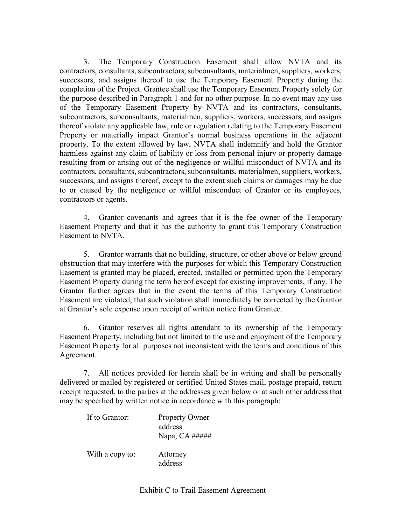3. The Temporary Construction Easement shall allow NVTA and its contractors, consultants, subcontractors, subconsultants, materialmen, suppliers, workers, successors, and assigns thereof to use the Temporary Easement Property during the completion of the Project. Grantee shall use the Temporary Easement Property solely for the purpose described in Paragraph 1 and for no other purpose. In no event may any use of the Temporary Easement Property by NVTA and its contractors, consultants, subcontractors, subconsultants, materialmen, suppliers, workers, successors, and assigns thereof violate any applicable law, rule or regulation relating to the Temporary Easement Property or materially impact Grantor's normal business operations in the adjacent property. To the extent allowed by law, NVTA shall indemnify and hold the Grantor harmless against any claim of liability or loss from personal injury or property damage resulting from or arising out of the negligence or willful misconduct of NVTA and its contractors, consultants, subcontractors, subconsultants, materialmen, suppliers, workers, successors, and assigns thereof, except to the extent such claims or damages may be due to or caused by the negligence or willful misconduct of Grantor or its employees, contractors or agents.

4. Grantor covenants and agrees that it is the fee owner of the Temporary Easement Property and that it has the authority to grant this Temporary Construction Easement to NVTA.

5. Grantor warrants that no building, structure, or other above or below ground obstruction that may interfere with the purposes for which this Temporary Construction Easement is granted may be placed, erected, installed or permitted upon the Temporary Easement Property during the term hereof except for existing improvements, if any. The Grantor further agrees that in the event the terms of this Temporary Construction Easement are violated, that such violation shall immediately be corrected by the Grantor at Grantor's sole expense upon receipt of written notice from Grantee.

6. Grantor reserves all rights attendant to its ownership of the Temporary Easement Property, including but not limited to the use and enjoyment of the Temporary Easement Property for all purposes not inconsistent with the terms and conditions of this Agreement.

7. All notices provided for herein shall be in writing and shall be personally delivered or mailed by registered or certified United States mail, postage prepaid, return receipt requested, to the parties at the addresses given below or at such other address that may be specified by written notice in accordance with this paragraph:

| If to Grantor:  | <b>Property Owner</b><br>address<br>Napa, $CA$ ##### |
|-----------------|------------------------------------------------------|
| With a copy to: | Attorney<br>address                                  |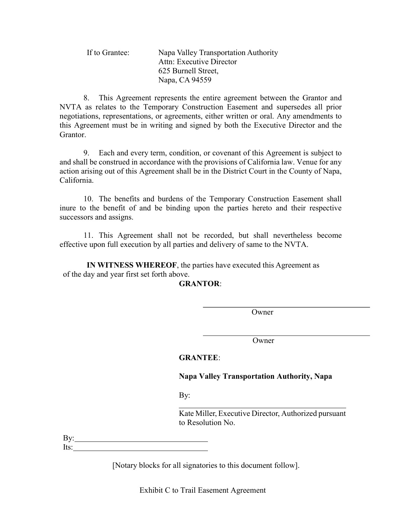| If to Grantee: | Napa Valley Transportation Authority |
|----------------|--------------------------------------|
|                | Attn: Executive Director             |
|                | 625 Burnell Street,                  |
|                | Napa, CA 94559                       |

8. This Agreement represents the entire agreement between the Grantor and NVTA as relates to the Temporary Construction Easement and supersedes all prior negotiations, representations, or agreements, either written or oral. Any amendments to this Agreement must be in writing and signed by both the Executive Director and the Grantor.

9. Each and every term, condition, or covenant of this Agreement is subject to and shall be construed in accordance with the provisions of California law. Venue for any action arising out of this Agreement shall be in the District Court in the County of Napa, California.

10. The benefits and burdens of the Temporary Construction Easement shall inure to the benefit of and be binding upon the parties hereto and their respective successors and assigns.

11. This Agreement shall not be recorded, but shall nevertheless become effective upon full execution by all parties and delivery of same to the NVTA.

IN WITNESS WHEREOF, the parties have executed this Agreement as of the day and year first set forth above.

GRANTOR:

**Owner** 

Owner

## GRANTEE:

## Napa Valley Transportation Authority, Napa

By:

l

Kate Miller, Executive Director, Authorized pursuant to Resolution No.

By: Its:

[Notary blocks for all signatories to this document follow].